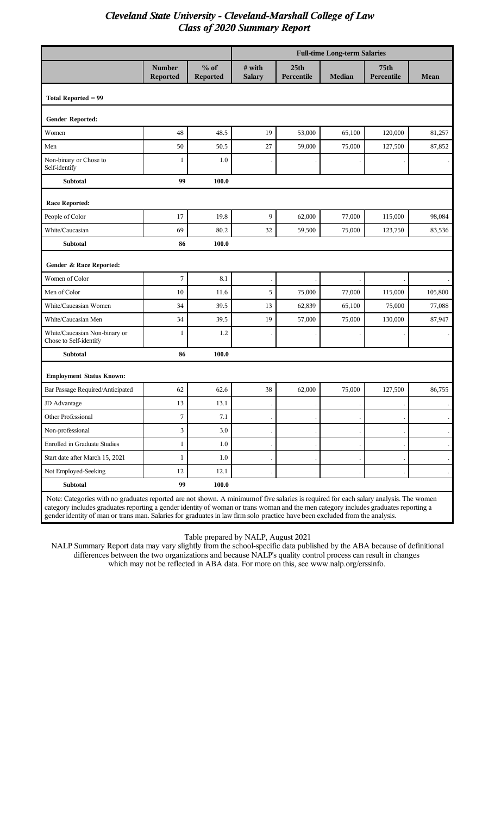|                                                                                                                                                                                                                                                                                                                                                                                                             |                           |                           | <b>Full-time Long-term Salaries</b> |                                |               |                                |           |
|-------------------------------------------------------------------------------------------------------------------------------------------------------------------------------------------------------------------------------------------------------------------------------------------------------------------------------------------------------------------------------------------------------------|---------------------------|---------------------------|-------------------------------------|--------------------------------|---------------|--------------------------------|-----------|
|                                                                                                                                                                                                                                                                                                                                                                                                             | <b>Number</b><br>Reported | $%$ of<br><b>Reported</b> | # with<br><b>Salary</b>             | 25 <sub>th</sub><br>Percentile | <b>Median</b> | 75 <sub>th</sub><br>Percentile | Mean      |
| Total Reported = 99                                                                                                                                                                                                                                                                                                                                                                                         |                           |                           |                                     |                                |               |                                |           |
| Gender Reported:                                                                                                                                                                                                                                                                                                                                                                                            |                           |                           |                                     |                                |               |                                |           |
| Women                                                                                                                                                                                                                                                                                                                                                                                                       | 48                        | 48.5                      | 19                                  | 53,000                         | 65,100        | 120,000                        | 81,257    |
| Men                                                                                                                                                                                                                                                                                                                                                                                                         | 50                        | 50.5                      | 27                                  | 59,000                         | 75,000        | 127,500                        | 87,852    |
| Non-binary or Chose to<br>Self-identify                                                                                                                                                                                                                                                                                                                                                                     | 1                         | 1.0                       |                                     |                                |               |                                |           |
| <b>Subtotal</b>                                                                                                                                                                                                                                                                                                                                                                                             | 99                        | 100.0                     |                                     |                                |               |                                |           |
| <b>Race Reported:</b>                                                                                                                                                                                                                                                                                                                                                                                       |                           |                           |                                     |                                |               |                                |           |
| People of Color                                                                                                                                                                                                                                                                                                                                                                                             | 17                        | 19.8                      | 9                                   | 62,000                         | 77,000        | 115,000                        | 98.084    |
| White/Caucasian                                                                                                                                                                                                                                                                                                                                                                                             | 69                        | 80.2                      | 32                                  | 59,500                         | 75,000        | 123,750                        | 83,536    |
| <b>Subtotal</b>                                                                                                                                                                                                                                                                                                                                                                                             | 86                        | 100.0                     |                                     |                                |               |                                |           |
| Gender & Race Reported:                                                                                                                                                                                                                                                                                                                                                                                     |                           |                           |                                     |                                |               |                                |           |
| Women of Color                                                                                                                                                                                                                                                                                                                                                                                              | 7                         | 8.1                       |                                     |                                |               |                                |           |
| Men of Color                                                                                                                                                                                                                                                                                                                                                                                                | 10                        | 11.6                      | 5                                   | 75,000                         | 77,000        | 115,000                        | 105,800   |
| White/Caucasian Women                                                                                                                                                                                                                                                                                                                                                                                       | 34                        | 39.5                      | 13                                  | 62,839                         | 65,100        | 75,000                         | 77,088    |
| White/Caucasian Men                                                                                                                                                                                                                                                                                                                                                                                         | 34                        | 39.5                      | 19                                  | 57,000                         | 75,000        | 130,000                        | 87,947    |
| White/Caucasian Non-binary or<br>Chose to Self-identify                                                                                                                                                                                                                                                                                                                                                     | 1                         | 1.2                       |                                     |                                |               |                                |           |
| <b>Subtotal</b>                                                                                                                                                                                                                                                                                                                                                                                             | 86                        | 100.0                     |                                     |                                |               |                                |           |
| <b>Employment Status Known:</b>                                                                                                                                                                                                                                                                                                                                                                             |                           |                           |                                     |                                |               |                                |           |
| Bar Passage Required/Anticipated                                                                                                                                                                                                                                                                                                                                                                            | 62                        | 62.6                      | 38                                  | 62,000                         | 75,000        | 127,500                        | 86,755    |
| JD Advantage                                                                                                                                                                                                                                                                                                                                                                                                | 13                        | 13.1                      |                                     |                                |               |                                |           |
| Other Professional                                                                                                                                                                                                                                                                                                                                                                                          | $\overline{7}$            | 7.1                       |                                     |                                |               |                                |           |
| Non-professional                                                                                                                                                                                                                                                                                                                                                                                            | 3                         | 3.0                       |                                     |                                |               |                                | $\bullet$ |
| Enrolled in Graduate Studies                                                                                                                                                                                                                                                                                                                                                                                | 1                         | 1.0                       |                                     |                                |               |                                |           |
| Start date after March 15, 2021                                                                                                                                                                                                                                                                                                                                                                             | 1                         | 1.0                       |                                     |                                |               |                                |           |
| Not Employed-Seeking                                                                                                                                                                                                                                                                                                                                                                                        | 12                        | 12.1                      |                                     |                                |               |                                |           |
| Subtotal                                                                                                                                                                                                                                                                                                                                                                                                    | 99                        | 100.0                     |                                     |                                |               |                                |           |
| Note: Categories with no graduates reported are not shown. A minimum of five salaries is required for each salary analysis. The women<br>category includes graduates reporting a gender identity of woman or trans woman and the men category includes graduates reporting a<br>gender identity of man or trans man. Salaries for graduates in law firm solo practice have been excluded from the analysis. |                           |                           |                                     |                                |               |                                |           |

Table prepared by NALP, August 2021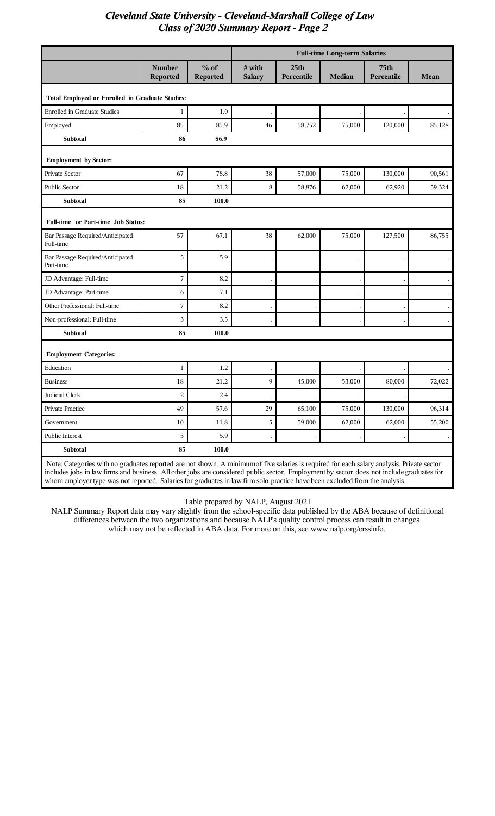|                                                                                                                                           |                           |                           | <b>Full-time Long-term Salaries</b> |                                |               |                           |           |
|-------------------------------------------------------------------------------------------------------------------------------------------|---------------------------|---------------------------|-------------------------------------|--------------------------------|---------------|---------------------------|-----------|
|                                                                                                                                           | <b>Number</b><br>Reported | $%$ of<br><b>Reported</b> | # with<br><b>Salary</b>             | 25 <sub>th</sub><br>Percentile | <b>Median</b> | <b>75th</b><br>Percentile | Mean      |
| Total Employed or Enrolled in Graduate Studies:                                                                                           |                           |                           |                                     |                                |               |                           |           |
| <b>Enrolled in Graduate Studies</b>                                                                                                       | $\mathbf{1}$              | 1.0                       |                                     |                                |               |                           |           |
| Employed                                                                                                                                  | 85                        | 85.9                      | 46                                  | 58,752                         | 75,000        | 120,000                   | 85,128    |
| <b>Subtotal</b>                                                                                                                           | 86                        | 86.9                      |                                     |                                |               |                           |           |
| <b>Employment by Sector:</b>                                                                                                              |                           |                           |                                     |                                |               |                           |           |
| Private Sector                                                                                                                            | 67                        | 78.8                      | 38                                  | 57,000                         | 75,000        | 130,000                   | 90,561    |
| Public Sector                                                                                                                             | 18                        | 21.2                      | 8                                   | 58,876                         | 62,000        | 62,920                    | 59,324    |
| <b>Subtotal</b>                                                                                                                           | 85                        | 100.0                     |                                     |                                |               |                           |           |
| Full-time or Part-time Job Status:                                                                                                        |                           |                           |                                     |                                |               |                           |           |
| Bar Passage Required/Anticipated:<br>Full-time                                                                                            | 57                        | 67.1                      | 38                                  | 62,000                         | 75,000        | 127,500                   | 86,755    |
| Bar Passage Required/Anticipated:<br>Part-time                                                                                            | 5                         | 5.9                       |                                     |                                |               |                           |           |
| JD Advantage: Full-time                                                                                                                   | 7                         | 8.2                       |                                     |                                |               |                           |           |
| JD Advantage: Part-time                                                                                                                   | 6                         | 7.1                       |                                     |                                |               |                           |           |
| Other Professional: Full-time                                                                                                             | 7                         | 8.2                       |                                     |                                |               |                           |           |
| Non-professional: Full-time                                                                                                               | 3                         | 3.5                       |                                     |                                |               |                           |           |
| <b>Subtotal</b>                                                                                                                           | 85                        | 100.0                     |                                     |                                |               |                           |           |
| <b>Employment Categories:</b>                                                                                                             |                           |                           |                                     |                                |               |                           |           |
| Education                                                                                                                                 | $\mathbf{1}$              | 1.2                       |                                     |                                |               |                           |           |
| <b>Business</b>                                                                                                                           | 18                        | 21.2                      | 9                                   | 45,000                         | 53,000        | 80,000                    | 72,022    |
| Judicial Clerk                                                                                                                            | $\overline{2}$            | 2.4                       |                                     |                                |               |                           |           |
| Private Practice                                                                                                                          | 49                        | 57.6                      | 29                                  | 65,100                         | 75,000        | 130,000                   | 96,314    |
| Government                                                                                                                                | 10                        | 11.8                      | 5                                   | 59,000                         | 62,000        | 62,000                    | 55,200    |
| Public Interest                                                                                                                           | 5                         | 5.9                       |                                     |                                |               |                           | $\bullet$ |
| Subtotal                                                                                                                                  | 85                        | 100.0                     |                                     |                                |               |                           |           |
| Note: Categories with no graduates reported are not shown. A minimumof five salaries is required for each salary analysis. Private sector |                           |                           |                                     |                                |               |                           |           |

includes jobs in law firms and business. All other jobs are considered public sector. Employment by sector does not include graduates for whom employer type was not reported. Salaries for graduates in law firm solo practice have been excluded from the analysis.

Table prepared by NALP, August 2021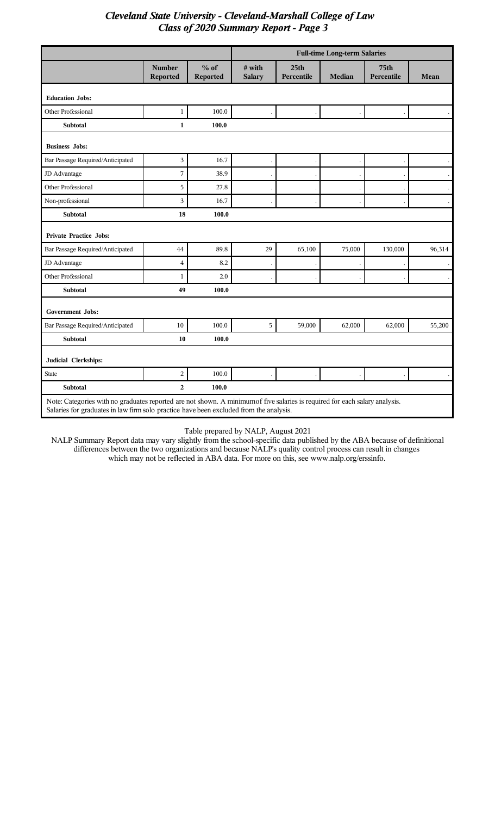|                                                                                                                                                                                                                       |                                  |                    | <b>Full-time Long-term Salaries</b> |                                |        |                    |        |
|-----------------------------------------------------------------------------------------------------------------------------------------------------------------------------------------------------------------------|----------------------------------|--------------------|-------------------------------------|--------------------------------|--------|--------------------|--------|
|                                                                                                                                                                                                                       | <b>Number</b><br><b>Reported</b> | $%$ of<br>Reported | # with<br><b>Salary</b>             | 25 <sub>th</sub><br>Percentile | Median | 75th<br>Percentile | Mean   |
| <b>Education Jobs:</b>                                                                                                                                                                                                |                                  |                    |                                     |                                |        |                    |        |
| Other Professional                                                                                                                                                                                                    | $\mathbf{1}$                     | 100.0              |                                     |                                |        |                    |        |
| <b>Subtotal</b>                                                                                                                                                                                                       | $\mathbf{1}$                     | 100.0              |                                     |                                |        |                    |        |
| <b>Business Jobs:</b>                                                                                                                                                                                                 |                                  |                    |                                     |                                |        |                    |        |
| Bar Passage Required/Anticipated                                                                                                                                                                                      | 3                                | 16.7               |                                     |                                |        |                    |        |
| JD Advantage                                                                                                                                                                                                          | 7                                | 38.9               |                                     |                                |        |                    |        |
| Other Professional                                                                                                                                                                                                    | 5                                | 27.8               |                                     |                                |        |                    |        |
| Non-professional                                                                                                                                                                                                      | 3                                | 16.7               |                                     |                                |        |                    |        |
| <b>Subtotal</b>                                                                                                                                                                                                       | 18                               | 100.0              |                                     |                                |        |                    |        |
| <b>Private Practice Jobs:</b>                                                                                                                                                                                         |                                  |                    |                                     |                                |        |                    |        |
| Bar Passage Required/Anticipated                                                                                                                                                                                      | 44                               | 89.8               | 29                                  | 65,100                         | 75,000 | 130,000            | 96,314 |
| JD Advantage                                                                                                                                                                                                          | $\overline{4}$                   | 8.2                |                                     |                                |        |                    |        |
| Other Professional                                                                                                                                                                                                    | $\mathbf{1}$                     | 2.0                |                                     |                                |        |                    |        |
| <b>Subtotal</b>                                                                                                                                                                                                       | 49                               | 100.0              |                                     |                                |        |                    |        |
| <b>Government Jobs:</b>                                                                                                                                                                                               |                                  |                    |                                     |                                |        |                    |        |
| Bar Passage Required/Anticipated                                                                                                                                                                                      | $10\,$                           | 100.0              | 5                                   | 59,000                         | 62,000 | 62,000             | 55,200 |
| <b>Subtotal</b>                                                                                                                                                                                                       | 10                               | 100.0              |                                     |                                |        |                    |        |
| Judicial Clerkships:                                                                                                                                                                                                  |                                  |                    |                                     |                                |        |                    |        |
| <b>State</b>                                                                                                                                                                                                          | $\sqrt{2}$                       | 100.0              |                                     |                                |        |                    |        |
| Subtotal                                                                                                                                                                                                              | $\overline{2}$                   | 100.0              |                                     |                                |        |                    |        |
| Note: Categories with no graduates reported are not shown. A minimum of five salaries is required for each salary analysis.<br>Salaries for graduates in law firm solo practice have been excluded from the analysis. |                                  |                    |                                     |                                |        |                    |        |

Table prepared by NALP, August 2021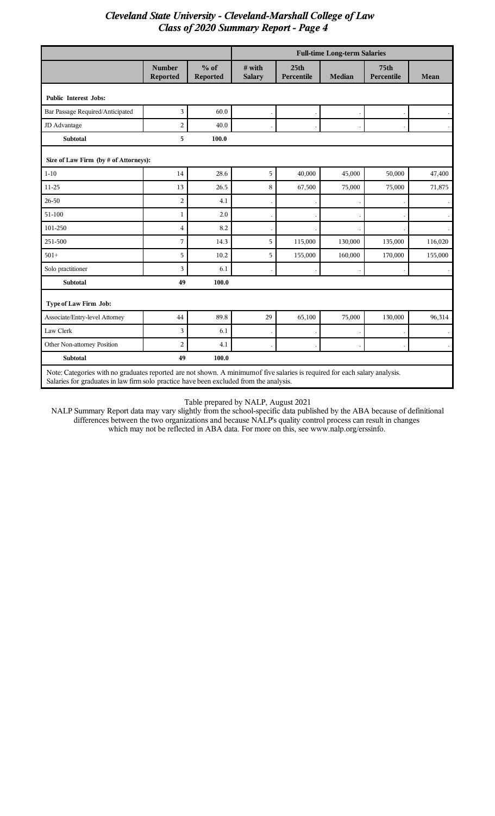|                                                                                                                             |                                  |                    | <b>Full-time Long-term Salaries</b> |                                |               |                                |           |
|-----------------------------------------------------------------------------------------------------------------------------|----------------------------------|--------------------|-------------------------------------|--------------------------------|---------------|--------------------------------|-----------|
|                                                                                                                             | <b>Number</b><br><b>Reported</b> | $%$ of<br>Reported | # with<br><b>Salary</b>             | 25 <sub>th</sub><br>Percentile | <b>Median</b> | 75 <sub>th</sub><br>Percentile | Mean      |
| <b>Public Interest Jobs:</b>                                                                                                |                                  |                    |                                     |                                |               |                                |           |
| Bar Passage Required/Anticipated                                                                                            | 3                                | 60.0               |                                     |                                |               |                                |           |
| JD Advantage                                                                                                                | $\overline{2}$                   | 40.0               |                                     |                                |               |                                |           |
| <b>Subtotal</b>                                                                                                             | 5                                | 100.0              |                                     |                                |               |                                |           |
| Size of Law Firm (by # of Attorneys):                                                                                       |                                  |                    |                                     |                                |               |                                |           |
| $1 - 10$                                                                                                                    | 14                               | 28.6               | 5                                   | 40,000                         | 45,000        | 50,000                         | 47,400    |
| $11 - 25$                                                                                                                   | 13                               | 26.5               | 8                                   | 67,500                         | 75,000        | 75,000                         | 71,875    |
| 26-50                                                                                                                       | $\overline{2}$                   | 4.1                |                                     |                                |               |                                |           |
| 51-100                                                                                                                      | $\mathbf{1}$                     | 2.0                |                                     |                                |               |                                | $\cdot$   |
| $101 - 250$                                                                                                                 | $\overline{4}$                   | 8.2                |                                     |                                |               |                                |           |
| 251-500                                                                                                                     | 7                                | 14.3               | 5                                   | 115,000                        | 130,000       | 135,000                        | 116,020   |
| $501+$                                                                                                                      | 5                                | 10.2               | 5                                   | 155,000                        | 160,000       | 170,000                        | 155,000   |
| Solo practitioner                                                                                                           | 3                                | 6.1                |                                     |                                |               |                                | $\bullet$ |
| <b>Subtotal</b>                                                                                                             | 49                               | 100.0              |                                     |                                |               |                                |           |
| Type of Law Firm Job:                                                                                                       |                                  |                    |                                     |                                |               |                                |           |
| Associate/Entry-level Attorney                                                                                              | 44                               | 89.8               | 29                                  | 65,100                         | 75,000        | 130,000                        | 96,314    |
| Law Clerk                                                                                                                   | 3                                | 6.1                |                                     |                                |               |                                | $\bullet$ |
| Other Non-attorney Position                                                                                                 | $\overline{c}$                   | 4.1                |                                     |                                |               |                                |           |
| <b>Subtotal</b>                                                                                                             | 49                               | 100.0              |                                     |                                |               |                                |           |
| Note: Categories with no graduates reported are not shown. A minimum of five salaries is required for each salary analysis. |                                  |                    |                                     |                                |               |                                |           |

Salaries for graduates in law firm solo practice have been excluded from the analysis.

#### Table prepared by NALP, August 2021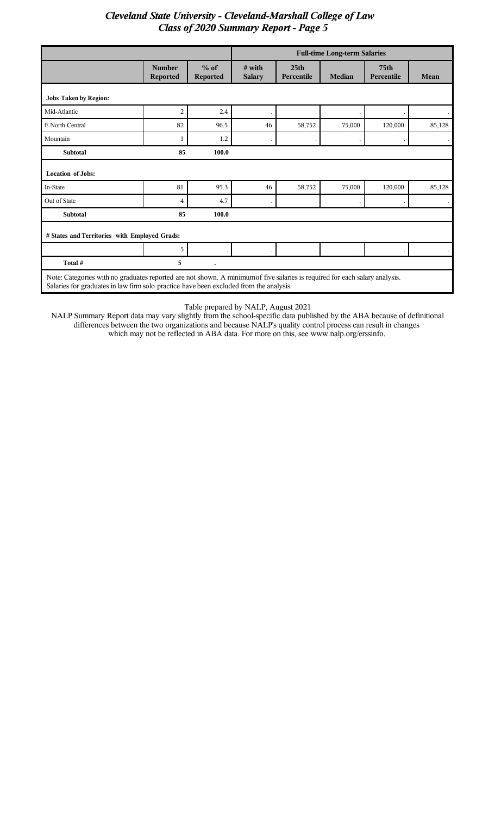|                                                                                                                                                                                                                       |                                  |                           | <b>Full-time Long-term Salaries</b> |                                |               |                                |           |
|-----------------------------------------------------------------------------------------------------------------------------------------------------------------------------------------------------------------------|----------------------------------|---------------------------|-------------------------------------|--------------------------------|---------------|--------------------------------|-----------|
|                                                                                                                                                                                                                       | <b>Number</b><br><b>Reported</b> | $%$ of<br><b>Reported</b> | $#$ with<br><b>Salary</b>           | 25 <sub>th</sub><br>Percentile | <b>Median</b> | 75 <sub>th</sub><br>Percentile | Mean      |
| <b>Jobs Taken by Region:</b>                                                                                                                                                                                          |                                  |                           |                                     |                                |               |                                |           |
| Mid-Atlantic                                                                                                                                                                                                          | $\overline{c}$                   | 2.4                       |                                     |                                |               |                                |           |
| E North Central                                                                                                                                                                                                       | 82                               | 96.5                      | 46                                  | 58,752                         | 75,000        | 120,000                        | 85,128    |
| Mountain                                                                                                                                                                                                              | 1                                | 1.2                       |                                     |                                |               |                                |           |
| <b>Subtotal</b>                                                                                                                                                                                                       | 85                               | 100.0                     |                                     |                                |               |                                |           |
| <b>Location of Jobs:</b>                                                                                                                                                                                              |                                  |                           |                                     |                                |               |                                |           |
| In-State                                                                                                                                                                                                              | 81                               | 95.3                      | 46                                  | 58,752                         | 75,000        | 120,000                        | 85,128    |
| Out of State                                                                                                                                                                                                          | 4                                | 4.7                       |                                     |                                |               |                                | $\bullet$ |
| <b>Subtotal</b>                                                                                                                                                                                                       | 85                               | 100.0                     |                                     |                                |               |                                |           |
| # States and Territories with Employed Grads:                                                                                                                                                                         |                                  |                           |                                     |                                |               |                                |           |
|                                                                                                                                                                                                                       | 5                                |                           |                                     |                                |               |                                | $\bullet$ |
| Total #                                                                                                                                                                                                               | 5                                | $\ddot{\phantom{0}}$      |                                     |                                |               |                                |           |
| Note: Categories with no graduates reported are not shown. A minimum of five salaries is required for each salary analysis.<br>Salaries for graduates in law firm solo practice have been excluded from the analysis. |                                  |                           |                                     |                                |               |                                |           |

Table prepared by NALP, August 2021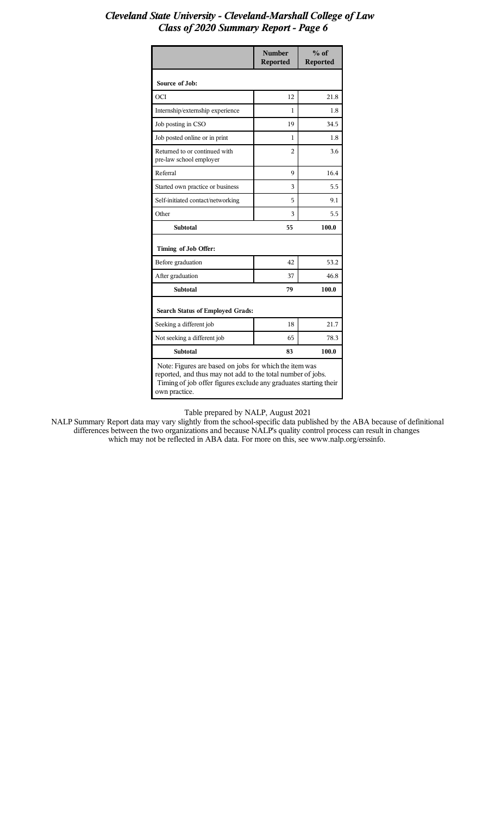|                                                                                                                                                                                                            | <b>Number</b><br><b>Reported</b> | $%$ of<br><b>Reported</b> |  |  |  |
|------------------------------------------------------------------------------------------------------------------------------------------------------------------------------------------------------------|----------------------------------|---------------------------|--|--|--|
| Source of Job:                                                                                                                                                                                             |                                  |                           |  |  |  |
| <b>OCI</b>                                                                                                                                                                                                 | 12                               | 21.8                      |  |  |  |
| Internship/externship experience                                                                                                                                                                           | 1                                | 1.8                       |  |  |  |
| Job posting in CSO                                                                                                                                                                                         | 19                               | 34.5                      |  |  |  |
| Job posted online or in print                                                                                                                                                                              | 1                                | 1.8                       |  |  |  |
| Returned to or continued with<br>pre-law school employer                                                                                                                                                   | 2                                | 3.6                       |  |  |  |
| Referral                                                                                                                                                                                                   | 9                                | 16.4                      |  |  |  |
| Started own practice or business                                                                                                                                                                           | 3                                | 5.5                       |  |  |  |
| Self-initiated contact/networking                                                                                                                                                                          | 5                                | 9.1                       |  |  |  |
| Other                                                                                                                                                                                                      | 3                                | 5.5                       |  |  |  |
| <b>Subtotal</b>                                                                                                                                                                                            | 55                               | 100.0                     |  |  |  |
| Timing of Job Offer:                                                                                                                                                                                       |                                  |                           |  |  |  |
| Before graduation                                                                                                                                                                                          | 42                               | 53.2                      |  |  |  |
| After graduation                                                                                                                                                                                           | 37                               | 46.8                      |  |  |  |
| <b>Subtotal</b>                                                                                                                                                                                            | 79                               | 100.0                     |  |  |  |
| <b>Search Status of Employed Grads:</b>                                                                                                                                                                    |                                  |                           |  |  |  |
| Seeking a different job                                                                                                                                                                                    | 18                               | 21.7                      |  |  |  |
| Not seeking a different job                                                                                                                                                                                | 65                               | 78.3                      |  |  |  |
| <b>Subtotal</b>                                                                                                                                                                                            | 83                               | 100.0                     |  |  |  |
| Note: Figures are based on jobs for which the item was<br>reported, and thus may not add to the total number of jobs.<br>Timing of job offer figures exclude any graduates starting their<br>own practice. |                                  |                           |  |  |  |

Table prepared by NALP, August 2021